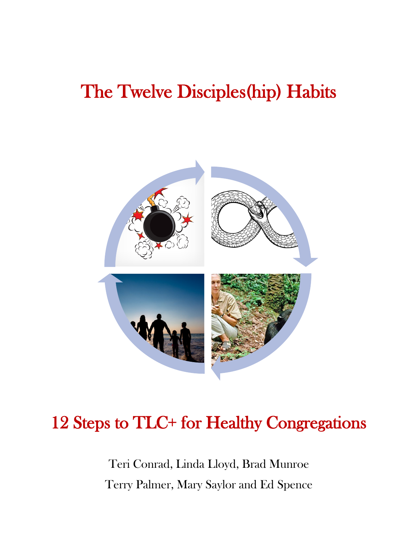# The Twelve Disciples(hip) Habits



# 12 Steps to TLC+ for Healthy Congregations

Teri Conrad, Linda Lloyd, Brad Munroe Terry Palmer, Mary Saylor and Ed Spence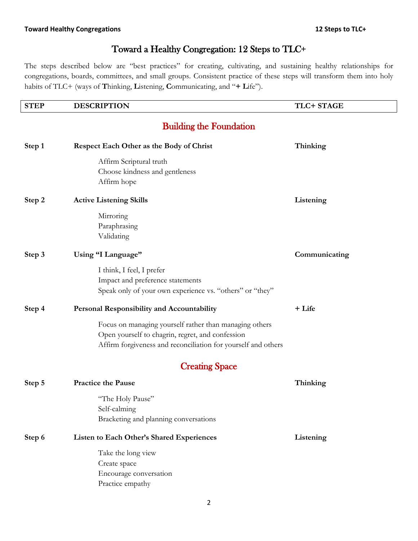# Toward a Healthy Congregation: 12 Steps to TLC+

The steps described below are "best practices" for creating, cultivating, and sustaining healthy relationships for congregations, boards, committees, and small groups. Consistent practice of these steps will transform them into holy habits of TLC+ (ways of **T**hinking, **L**istening, **C**ommunicating, and "**+ L**ife").

| <b>STEP</b> | <b>DESCRIPTION</b>                                            | TLC+ STAGE    |
|-------------|---------------------------------------------------------------|---------------|
|             | <b>Building the Foundation</b>                                |               |
| Step 1      | Respect Each Other as the Body of Christ                      | Thinking      |
|             | Affirm Scriptural truth                                       |               |
|             | Choose kindness and gentleness                                |               |
|             | Affirm hope                                                   |               |
| Step 2      | <b>Active Listening Skills</b>                                | Listening     |
|             | Mirroring                                                     |               |
|             | Paraphrasing                                                  |               |
|             | Validating                                                    |               |
| Step 3      | Using "I Language"                                            | Communicating |
|             | I think, I feel, I prefer                                     |               |
|             | Impact and preference statements                              |               |
|             | Speak only of your own experience vs. "others" or "they"      |               |
| Step 4      | <b>Personal Responsibility and Accountability</b>             | + Life        |
|             | Focus on managing yourself rather than managing others        |               |
|             | Open yourself to chagrin, regret, and confession              |               |
|             | Affirm forgiveness and reconciliation for yourself and others |               |
|             | <b>Creating Space</b>                                         |               |
| Step 5      | <b>Practice the Pause</b>                                     | Thinking      |
|             | "The Holy Pause"                                              |               |
|             | Self-calming                                                  |               |
|             | Bracketing and planning conversations                         |               |
| Step 6      | Listen to Each Other's Shared Experiences                     | Listening     |
|             | Take the long view                                            |               |
|             | Create space                                                  |               |
|             | Encourage conversation                                        |               |
|             | Practice empathy                                              |               |
|             |                                                               |               |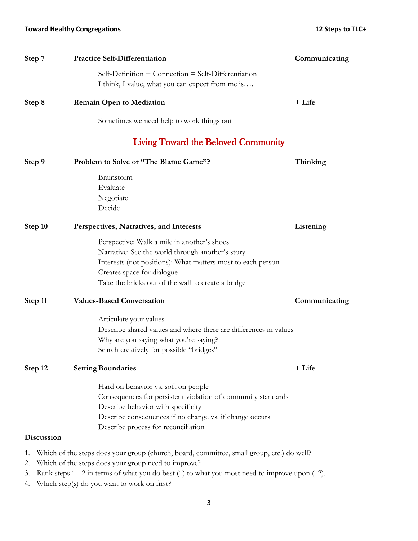| Step 7            | <b>Practice Self-Differentiation</b>                                                                                                                                                                                                               | Communicating |
|-------------------|----------------------------------------------------------------------------------------------------------------------------------------------------------------------------------------------------------------------------------------------------|---------------|
|                   | Self-Definition + Connection = Self-Differentiation<br>I think, I value, what you can expect from me is                                                                                                                                            |               |
| Step 8            | <b>Remain Open to Mediation</b>                                                                                                                                                                                                                    | + Life        |
|                   | Sometimes we need help to work things out                                                                                                                                                                                                          |               |
|                   | <b>Living Toward the Beloved Community</b>                                                                                                                                                                                                         |               |
| Step 9            | Problem to Solve or "The Blame Game"?                                                                                                                                                                                                              | Thinking      |
|                   | Brainstorm<br>Evaluate<br>Negotiate<br>Decide                                                                                                                                                                                                      |               |
| Step 10           | Perspectives, Narratives, and Interests                                                                                                                                                                                                            | Listening     |
|                   | Perspective: Walk a mile in another's shoes<br>Narrative: See the world through another's story<br>Interests (not positions): What matters most to each person<br>Creates space for dialogue<br>Take the bricks out of the wall to create a bridge |               |
| Step 11           | <b>Values-Based Conversation</b>                                                                                                                                                                                                                   | Communicating |
|                   | Articulate your values<br>Describe shared values and where there are differences in values<br>Why are you saying what you're saying?<br>Search creatively for possible "bridges"                                                                   |               |
| Step 12           | <b>Setting Boundaries</b>                                                                                                                                                                                                                          | + Life        |
|                   | Hard on behavior vs. soft on people<br>Consequences for persistent violation of community standards<br>Describe behavior with specificity<br>Describe consequences if no change vs. if change occurs<br>Describe process for reconciliation        |               |
| <b>Discussion</b> |                                                                                                                                                                                                                                                    |               |
| 1.<br>2.<br>3.    | Which of the steps does your group (church, board, committee, small group, etc.) do well?<br>Which of the steps does your group need to improve?<br>Rank steps 1-12 in terms of what you do best (1) to what you most need to improve upon (12).   |               |

4. Which step(s) do you want to work on first?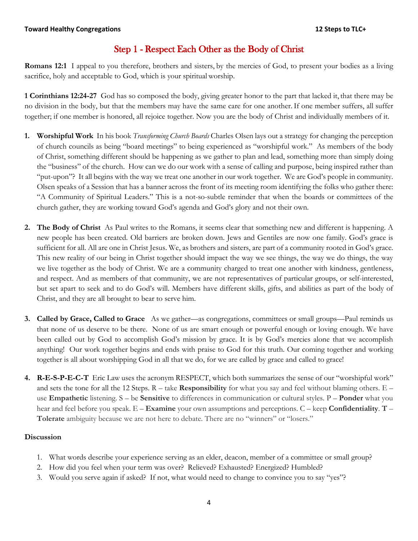# Step 1 - Respect Each Other as the Body of Christ

**Romans 12:1** I appeal to you therefore, brothers and sisters, by the mercies of God, to present your bodies as a living sacrifice, holy and acceptable to God, which is your spiritual worship.

**1 Corinthians 12:24-27** God has so composed the body, giving greater honor to the part that lacked it, that there may be no division in the body, but that the members may have the same care for one another.If one member suffers, all suffer together; if one member is honored, all rejoice together. Now you are the body of Christ and individually members of it.

- **1. Worshipful Work** In his book *Transforming Church Boards* Charles Olsen lays out a strategy for changing the perception of church councils as being "board meetings" to being experienced as "worshipful work." As members of the body of Christ, something different should be happening as we gather to plan and lead, something more than simply doing the "business" of the church. How can we do our work with a sense of calling and purpose, being inspired rather than "put-upon"? It all begins with the way we treat one another in our work together. We are God's people in community. Olsen speaks of a Session that has a banner across the front of its meeting room identifying the folks who gather there: "A Community of Spiritual Leaders." This is a not-so-subtle reminder that when the boards or committees of the church gather, they are working toward God's agenda and God's glory and not their own.
- **2. The Body of Christ** As Paul writes to the Romans, it seems clear that something new and different is happening. A new people has been created. Old barriers are broken down. Jews and Gentiles are now one family. God's grace is sufficient for all. All are one in Christ Jesus. We, as brothers and sisters, are part of a community rooted in God's grace. This new reality of our being in Christ together should impact the way we see things, the way we do things, the way we live together as the body of Christ. We are a community charged to treat one another with kindness, gentleness, and respect. And as members of that community, we are not representatives of particular groups, or self-interested, but set apart to seek and to do God's will. Members have different skills, gifts, and abilities as part of the body of Christ, and they are all brought to bear to serve him.
- **3. Called by Grace, Called to Grace** As we gather—as congregations, committees or small groups—Paul reminds us that none of us deserve to be there. None of us are smart enough or powerful enough or loving enough. We have been called out by God to accomplish God's mission by grace. It is by God's mercies alone that we accomplish anything! Our work together begins and ends with praise to God for this truth. Our coming together and working together is all about worshipping God in all that we do, for we are called by grace and called to grace!
- **4. R-E-S-P-E-C-T** Eric Law uses the acronym RESPECT, which both summarizes the sense of our "worshipful work" and sets the tone for all the 12 Steps. R – take **Responsibility** for what you say and feel without blaming others. E – use **Empathetic** listening. S – be **Sensitive** to differences in communication or cultural styles. P – **Ponder** what you hear and feel before you speak. E – **Examine** your own assumptions and perceptions. C – keep **Confidentiality**. **T** – **Tolerate** ambiguity because we are not here to debate. There are no "winners" or "losers."

- 1. What words describe your experience serving as an elder, deacon, member of a committee or small group?
- 2. How did you feel when your term was over? Relieved? Exhausted? Energized? Humbled?
- 3. Would you serve again if asked? If not, what would need to change to convince you to say "yes"?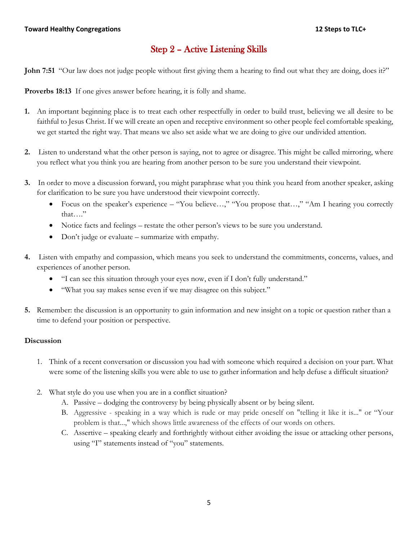# Step 2 – Active Listening Skills

**John 7:51** "Our law does not judge people without first giving them a hearing to find out what they are doing, does it?"

**Proverbs 18:13** If one gives answer before hearing, it is folly and shame.

- **1.** An important beginning place is to treat each other respectfully in order to build trust, believing we all desire to be faithful to Jesus Christ. If we will create an open and receptive environment so other people feel comfortable speaking, we get started the right way. That means we also set aside what we are doing to give our undivided attention.
- **2.** Listen to understand what the other person is saying, not to agree or disagree. This might be called mirroring, where you reflect what you think you are hearing from another person to be sure you understand their viewpoint.
- **3.** In order to move a discussion forward, you might paraphrase what you think you heard from another speaker, asking for clarification to be sure you have understood their viewpoint correctly.
	- Focus on the speaker's experience "You believe…," "You propose that…," "Am I hearing you correctly that…."
	- Notice facts and feelings restate the other person's views to be sure you understand.
	- Don't judge or evaluate summarize with empathy.
- **4.** Listen with empathy and compassion, which means you seek to understand the commitments, concerns, values, and experiences of another person.
	- "I can see this situation through your eyes now, even if I don't fully understand."
	- "What you say makes sense even if we may disagree on this subject."
- **5.** Remember: the discussion is an opportunity to gain information and new insight on a topic or question rather than a time to defend your position or perspective.

- 1. Think of a recent conversation or discussion you had with someone which required a decision on your part. What were some of the listening skills you were able to use to gather information and help defuse a difficult situation?
- 2. What style do you use when you are in a conflict situation?
	- A. Passive dodging the controversy by being physically absent or by being silent.
	- B. Aggressive speaking in a way which is rude or may pride oneself on "telling it like it is..." or "Your problem is that...," which shows little awareness of the effects of our words on others.
	- C. Assertive speaking clearly and forthrightly without either avoiding the issue or attacking other persons, using "I" statements instead of "you" statements.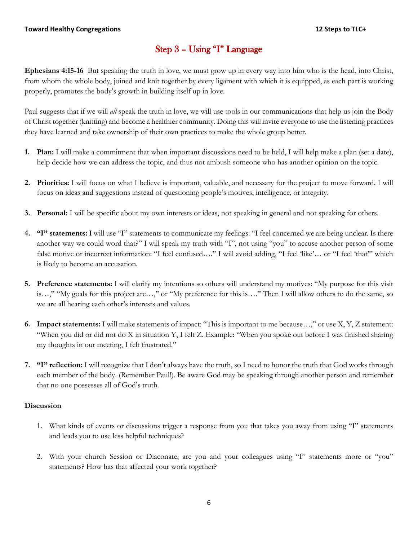# Step 3 – Using "I" Language

**Ephesians 4:15-16** But speaking the truth in love, we must grow up in every way into him who is the head, into Christ, from whom the whole body, joined and knit together by every ligament with which it is equipped, as each part is working properly, promotes the body's growth in building itself up in love.

Paul suggests that if we will *all* speak the truth in love, we will use tools in our communications that help us join the Body of Christ together (knitting) and become a healthier community. Doing this will invite everyone to use the listening practices they have learned and take ownership of their own practices to make the whole group better.

- **1. Plan:** I will make a commitment that when important discussions need to be held, I will help make a plan (set a date), help decide how we can address the topic, and thus not ambush someone who has another opinion on the topic.
- **2. Priorities:** I will focus on what I believe is important, valuable, and necessary for the project to move forward. I will focus on ideas and suggestions instead of questioning people's motives, intelligence, or integrity.
- **3. Personal:** I will be specific about my own interests or ideas, not speaking in general and not speaking for others.
- **4. "I" statements:** I will use "I" statements to communicate my feelings: "I feel concerned we are being unclear. Is there another way we could word that?" I will speak my truth with "I", not using "you" to accuse another person of some false motive or incorrect information: "I feel confused...." I will avoid adding, "I feel 'like'... or "I feel 'that"' which is likely to become an accusation.
- **5. Preference statements:** I will clarify my intentions so others will understand my motives: "My purpose for this visit is…," "My goals for this project are…," or "My preference for this is…." Then I will allow others to do the same, so we are all hearing each other's interests and values.
- **6. Impact statements:** I will make statements of impact: "This is important to me because…," or use X, Y, Z statement: "When you did or did not do X in situation Y, I felt Z. Example: "When you spoke out before I was finished sharing my thoughts in our meeting, I felt frustrated."
- **7. "I" reflection:** I will recognize that I don't always have the truth, so I need to honor the truth that God works through each member of the body. (Remember Paul!). Be aware God may be speaking through another person and remember that no one possesses all of God's truth.

- 1. What kinds of events or discussions trigger a response from you that takes you away from using "I" statements and leads you to use less helpful techniques?
- 2. With your church Session or Diaconate, are you and your colleagues using "I" statements more or "you" statements? How has that affected your work together?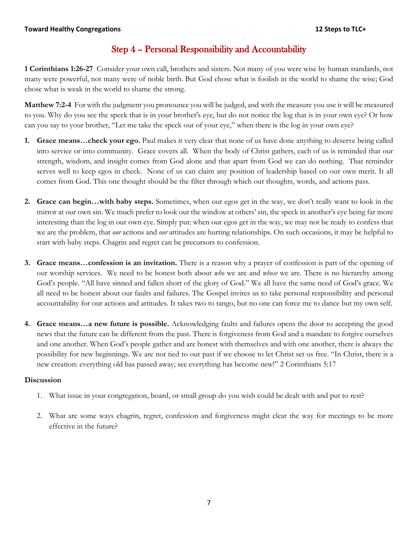# Step 4 – Personal Responsibility and Accountability

**1 Corinthians 1:26-27** Consider your own call, brothers and sisters. Not many of you were wise by human standards, not many were powerful, not many were of noble birth. But God chose what is foolish in the world to shame the wise; God chose what is weak in the world to shame the strong.

**Matthew 7:2-4** For with the judgment you pronounce you will be judged, and with the measure you use it will be measured to you. Why do you see the speck that is in your brother's eye, but do not notice the log that is in your own eye? Or how can you say to your brother, "Let me take the speck out of your eye," when there is the log in your own eye?

- **1. Grace means…check your ego.** Paul makes it very clear that none of us have done anything to deserve being called into service or into community. Grace covers all. When the body of Christ gathers, each of us is reminded that our strength, wisdom, and insight comes from God alone and that apart from God we can do nothing. That reminder serves well to keep egos in check. None of us can claim any position of leadership based on our own merit. It all comes from God. This one thought should be the filter through which our thoughts, words, and actions pass.
- **2. Grace can begin…with baby steps.** Sometimes, when our egos get in the way, we don't really want to look in the mirror at our own sin. We much prefer to look out the window at others' sin, the speck in another's eye being far more interesting than the log in our own eye. Simply put: when our egos get in the way, we may not be ready to confess that we are the problem, that *our* actions and *our* attitudes are hurting relationships. On such occasions, it may be helpful to start with baby steps. Chagrin and regret can be precursors to confession.
- **3. Grace means…confession is an invitation.** There is a reason why a prayer of confession is part of the opening of our worship services. We need to be honest both about *who* we are and *whose* we are. There is no hierarchy among God's people. "All have sinned and fallen short of the glory of God." We all have the same need of God's grace. We all need to be honest about our faults and failures. The Gospel invites us to take personal responsibility and personal accountability for our actions and attitudes. It takes two to tango, but no one can force me to dance but my own self.
- **4. Grace means…a new future is possible.** Acknowledging faults and failures opens the door to accepting the good news that the future can be different from the past. There is forgiveness from God and a mandate to forgive ourselves and one another. When God's people gather and are honest with themselves and with one another, there is always the possibility for new beginnings. We are not tied to our past if we choose to let Christ set us free. "In Christ, there is a new creation: everything old has passed away; see everything has become new!" 2 Corinthians 5:17

- 1. What issue in your congregation, board, or small group do you wish could be dealt with and put to rest?
- 2. What are some ways chagrin, regret, confession and forgiveness might clear the way for meetings to be more effective in the future?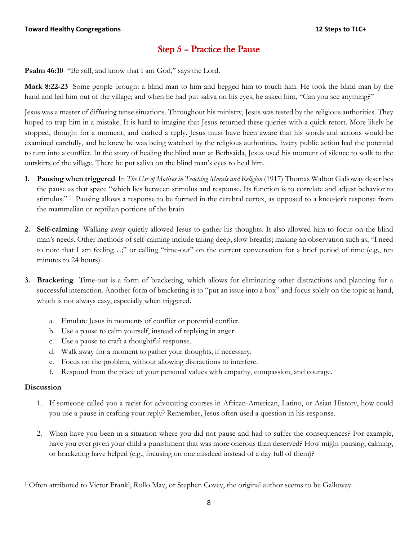# Step 5 – Practice the Pause

**Psalm 46:10** "Be still, and know that I am God," says the Lord.

**Mark 8:22-23** Some people brought a blind man to him and begged him to touch him. He took the blind man by the hand and led him out of the village; and when he had put saliva on his eyes, he asked him, "Can you see anything?"

Jesus was a master of diffusing tense situations. Throughout his ministry, Jesus was tested by the religious authorities. They hoped to trap him in a mistake. It is hard to imagine that Jesus returned these queries with a quick retort. More likely he stopped, thought for a moment, and crafted a reply. Jesus must have been aware that his words and actions would be examined carefully, and he knew he was being watched by the religious authorities. Every public action had the potential to turn into a conflict. In the story of healing the blind man at Bethsaida, Jesus used his moment of silence to walk to the outskirts of the village. There he put saliva on the blind man's eyes to heal him.

- **1. Pausing when triggered** In *The Use of Motives in Teaching Morals and Religion* (1917) Thomas Walton Galloway describes the pause as that space "which lies between stimulus and response. Its function is to correlate and adjust behavior to stimulus."<sup>1</sup> Pausing allows a response to be formed in the cerebral cortex, as opposed to a knee-jerk response from the mammalian or reptilian portions of the brain.
- **2. Self-calming** Walking away quietly allowed Jesus to gather his thoughts. It also allowed him to focus on the blind man's needs. Other methods of self-calming include taking deep, slow breaths; making an observation such as, "I need to note that I am feeling…;" or calling "time-out" on the current conversation for a brief period of time (e.g., ten minutes to 24 hours).
- **3. Bracketing** Time-out is a form of bracketing, which allows for eliminating other distractions and planning for a successful interaction. Another form of bracketing is to "put an issue into a box" and focus solely on the topic at hand, which is not always easy, especially when triggered.
	- a. Emulate Jesus in moments of conflict or potential conflict.
	- b. Use a pause to calm yourself, instead of replying in anger.
	- c. Use a pause to craft a thoughtful response.
	- d. Walk away for a moment to gather your thoughts, if necessary.
	- e. Focus on the problem, without allowing distractions to interfere.
	- f. Respond from the place of your personal values with empathy, compassion, and courage.

#### **Discussion**

- 1. If someone called you a racist for advocating courses in African-American, Latino, or Asian History, how could you use a pause in crafting your reply? Remember, Jesus often used a question in his response.
- 2. When have you been in a situation where you did not pause and had to suffer the consequences? For example, have you ever given your child a punishment that was more onerous than deserved? How might pausing, calming, or bracketing have helped (e.g., focusing on one misdeed instead of a day full of them)?

<sup>1</sup> Often attributed to Victor Frankl, Rollo May, or Stephen Covey, the original author seems to be Galloway.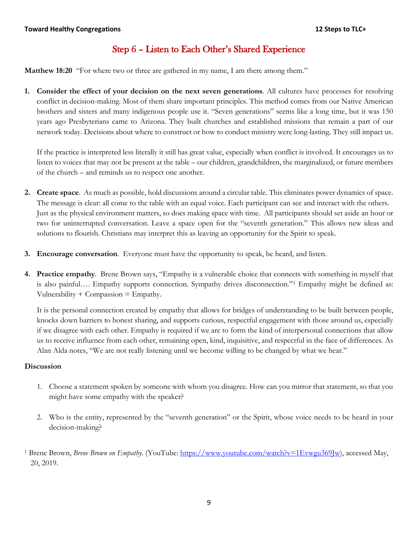# Step 6 – Listen to Each Other's Shared Experience

**Matthew 18:20** "For where two or three are gathered in my name, I am there among them."

**1. Consider the effect of your decision on the next seven generations**. All cultures have processes for resolving conflict in decision-making. Most of them share important principles. This method comes from our Native American brothers and sisters and many indigenous people use it. "Seven generations" seems like a long time, but it was 150 years ago Presbyterians came to Arizona. They built churches and established missions that remain a part of our network today. Decisions about where to construct or how to conduct ministry were long-lasting. They still impact us.

If the practice is interpreted less literally it still has great value, especially when conflict is involved. It encourages us to listen to voices that may not be present at the table – our children, grandchildren, the marginalized, or future members of the church – and reminds us to respect one another.

- **2. Create space**. As much as possible, hold discussions around a circular table. This eliminates power dynamics of space. The message is clear: all come to the table with an equal voice. Each participant can see and interact with the others. Just as the physical environment matters, so does making space with time. All participants should set aside an hour or two for uninterrupted conversation. Leave a space open for the "seventh generation." This allows new ideas and solutions to flourish. Christians may interpret this as leaving an opportunity for the Spirit to speak.
- **3. Encourage conversation**. Everyone must have the opportunity to speak, be heard, and listen.
- **4. Practice empathy**. Brene Brown says, "Empathy is a vulnerable choice that connects with something in myself that is also painful…. Empathy supports connection. Sympathy drives disconnection."[1](#page-18-0) Empathy might be defined as: Vulnerability  $+$  Compassion  $=$  Empathy.

It is the personal connection created by empathy that allows for bridges of understanding to be built between people, knocks down barriers to honest sharing, and supports curious, respectful engagement with those around us, especially if we disagree with each other. Empathy is required if we are to form the kind of interpersonal connections that allow us to receive influence from each other, remaining open, kind, inquisitive, and respectful in the face of differences. As Alan Alda notes, "We are not really listening until we become willing to be changed by what we hear."

- 1. Choose a statement spoken by someone with whom you disagree. How can you mirror that statement, so that you might have some empathy with the speaker?
- 2. Who is the entity, represented by the "seventh generation" or the Spirit, whose voice needs to be heard in your decision-making?
- <sup>1</sup> Brene Brown, *Brene Brown on Empathy*. (YouTube: [https://www.youtube.com/watch?v=1Evwgu369Jw\)](https://www.youtube.com/watch?v=1Evwgu369Jw), accessed May, 20, 2019.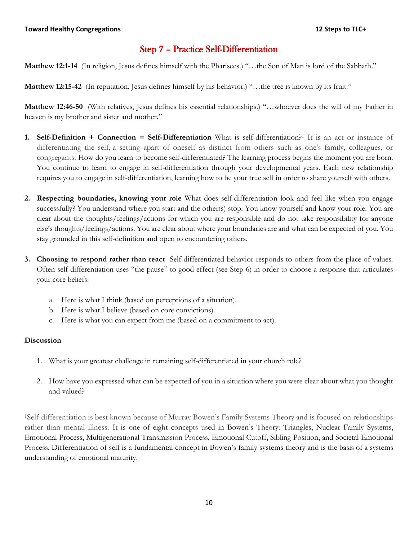# Step 7 – Practice Self-Differentiation

**Matthew 12:1-14** (In religion, Jesus defines himself with the Pharisees.) "…the Son of Man is lord of the Sabbath."

**Matthew 12:15-42** (In reputation, Jesus defines himself by his behavior.) "…the tree is known by its fruit."

**Matthew 12:46-50** (With relatives, Jesus defines his essential relationships.) "…whoever does the will of my Father in heaven is my brother and sister and mother."

- **1. Self-Definition + Connection = Self-Differentiation** What is self-differentiation?<sup>1</sup> It is an act or instance of differentiating the self, a setting apart of oneself as distinct from others such as one's family, colleagues, or congregants. How do you learn to become self-differentiated? The learning process begins the moment you are born. You continue to learn to engage in self-differentiation through your developmental years. Each new relationship requires you to engage in self-differentiation, learning how to be your true self in order to share yourself with others.
- **2. Respecting boundaries, knowing your role** What does self-differentiation look and feel like when you engage successfully? You understand where you start and the other(s) stop. You know yourself and know your role. You are clear about the thoughts/feelings/actions for which you are responsible and do not take responsibility for anyone else's thoughts/feelings/actions. You are clear about where your boundaries are and what can be expected of you. You stay grounded in this self-definition and open to encountering others.
- **3. Choosing to respond rather than react** Self-differentiated behavior responds to others from the place of values. Often self-differentiation uses "the pause" to good effect (see Step 6) in order to choose a response that articulates your core beliefs:
	- a. Here is what I think (based on perceptions of a situation).
	- b. Here is what I believe (based on core convictions).
	- c. Here is what you can expect from me (based on a commitment to act).

#### **Discussion**

- 1. What is your greatest challenge in remaining self-differentiated in your church role?
- 2. How have you expressed what can be expected of you in a situation where you were clear about what you thought and valued?

1Self-differentiation is best known because of Murray Bowen's Family Systems Theory and is focused on relationships rather than mental illness. It is one of eight concepts used in Bowen's Theory: Triangles, Nuclear Family Systems, Emotional Process, Multigenerational Transmission Process, Emotional Cutoff, Sibling Position, and Societal Emotional Process. Differentiation of self is a fundamental concept in Bowen's family systems theory and is the basis of a systems understanding of emotional maturity.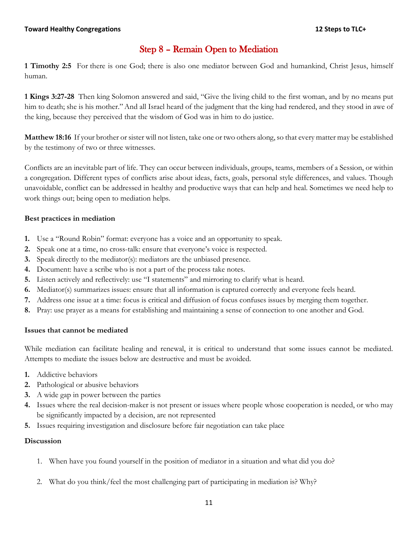# Step 8 – Remain Open to Mediation

**1 Timothy 2:5** For there is one God; there is also one mediator between God and humankind, Christ Jesus, himself human.

**1 Kings 3:27-28** Then king Solomon answered and said, "Give the living child to the first woman, and by no means put him to death; she is his mother." And all Israel heard of the judgment that the king had rendered, and they stood in awe of the king, because they perceived that the wisdom of God was in him to do justice.

**Matthew 18:16** If your brother or sister will not listen, take one or two others along, so that every matter may be established by the testimony of two or three witnesses.

Conflicts are an inevitable part of life. They can occur between individuals, groups, teams, members of a Session, or within a congregation. Different types of conflicts arise about ideas, facts, goals, personal style differences, and values. Though unavoidable, conflict can be addressed in healthy and productive ways that can help and heal. Sometimes we need help to work things out; being open to mediation helps.

#### **Best practices in mediation**

- **1.** Use a "Round Robin" format: everyone has a voice and an opportunity to speak.
- **2.** Speak one at a time, no cross-talk: ensure that everyone's voice is respected.
- **3.** Speak directly to the mediator(s): mediators are the unbiased presence.
- **4.** Document: have a scribe who is not a part of the process take notes.
- **5.** Listen actively and reflectively: use "I statements" and mirroring to clarify what is heard.
- **6.** Mediator(s) summarizes issues: ensure that all information is captured correctly and everyone feels heard.
- **7.** Address one issue at a time: focus is critical and diffusion of focus confuses issues by merging them together.
- **8.** Pray: use prayer as a means for establishing and maintaining a sense of connection to one another and God.

#### **Issues that cannot be mediated**

While mediation can facilitate healing and renewal, it is critical to understand that some issues cannot be mediated. Attempts to mediate the issues below are destructive and must be avoided.

- **1.** Addictive behaviors
- **2.** Pathological or abusive behaviors
- **3.** A wide gap in power between the parties
- **4.** Issues where the real decision-maker is not present or issues where people whose cooperation is needed, or who may be significantly impacted by a decision, are not represented
- **5.** Issues requiring investigation and disclosure before fair negotiation can take place

- 1. When have you found yourself in the position of mediator in a situation and what did you do?
- 2. What do you think/feel the most challenging part of participating in mediation is? Why?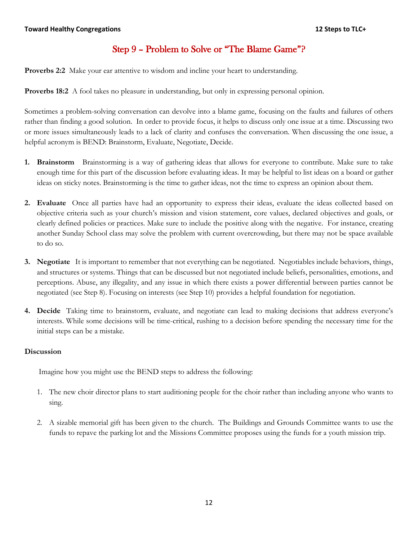# Step 9 – Problem to Solve or "The Blame Game"?

**Proverbs 2:2** Make your ear attentive to wisdom and incline your heart to understanding.

**Proverbs 18:2** A fool takes no pleasure in understanding, but only in expressing personal opinion.

Sometimes a problem-solving conversation can devolve into a blame game, focusing on the faults and failures of others rather than finding a good solution. In order to provide focus, it helps to discuss only one issue at a time. Discussing two or more issues simultaneously leads to a lack of clarity and confuses the conversation. When discussing the one issue, a helpful acronym is BEND: Brainstorm, Evaluate, Negotiate, Decide.

- **1. Brainstorm** Brainstorming is a way of gathering ideas that allows for everyone to contribute. Make sure to take enough time for this part of the discussion before evaluating ideas. It may be helpful to list ideas on a board or gather ideas on sticky notes. Brainstorming is the time to gather ideas, not the time to express an opinion about them.
- **2. Evaluate** Once all parties have had an opportunity to express their ideas, evaluate the ideas collected based on objective criteria such as your church's mission and vision statement, core values, declared objectives and goals, or clearly defined policies or practices. Make sure to include the positive along with the negative. For instance, creating another Sunday School class may solve the problem with current overcrowding, but there may not be space available to do so.
- **3. Negotiate** It is important to remember that not everything can be negotiated. Negotiables include behaviors, things, and structures or systems. Things that can be discussed but not negotiated include beliefs, personalities, emotions, and perceptions. Abuse, any illegality, and any issue in which there exists a power differential between parties cannot be negotiated (see Step 8). Focusing on interests (see Step 10) provides a helpful foundation for negotiation.
- **4. Decide** Taking time to brainstorm, evaluate, and negotiate can lead to making decisions that address everyone's interests. While some decisions will be time-critical, rushing to a decision before spending the necessary time for the initial steps can be a mistake.

#### **Discussion**

Imagine how you might use the BEND steps to address the following:

- 1. The new choir director plans to start auditioning people for the choir rather than including anyone who wants to sing.
- 2. A sizable memorial gift has been given to the church. The Buildings and Grounds Committee wants to use the funds to repave the parking lot and the Missions Committee proposes using the funds for a youth mission trip.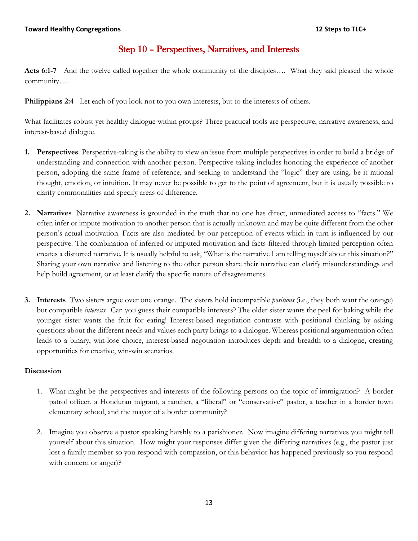# Step 10 – Perspectives, Narratives, and Interests

**Acts 6:1-7** And the twelve called together the whole community of the disciples…. What they said pleased the whole community….

**Philippians 2:4** Let each of you look not to you own interests, but to the interests of others.

What facilitates robust yet healthy dialogue within groups? Three practical tools are perspective, narrative awareness, and interest-based dialogue.

- **1. Perspectives** Perspective-taking is the ability to view an issue from multiple perspectives in order to build a bridge of understanding and connection with another person. Perspective-taking includes honoring the experience of another person, adopting the same frame of reference, and seeking to understand the "logic" they are using, be it rational thought, emotion, or intuition. It may never be possible to get to the point of agreement, but it is usually possible to clarify commonalities and specify areas of difference.
- **2. Narratives** Narrative awareness is grounded in the truth that no one has direct, unmediated access to "facts." We often infer or impute motivation to another person that is actually unknown and may be quite different from the other person's actual motivation. Facts are also mediated by our perception of events which in turn is influenced by our perspective. The combination of inferred or imputed motivation and facts filtered through limited perception often creates a distorted narrative. It is usually helpful to ask, "What is the narrative I am telling myself about this situation?" Sharing your own narrative and listening to the other person share their narrative can clarify misunderstandings and help build agreement, or at least clarify the specific nature of disagreements.
- **3. Interests** Two sisters argue over one orange. The sisters hold incompatible *positions* (i.e., they both want the orange) but compatible *interests.* Can you guess their compatible interests? The older sister wants the peel for baking while the younger sister wants the fruit for eating! Interest-based negotiation contrasts with positional thinking by asking questions about the different needs and values each party brings to a dialogue. Whereas positional argumentation often leads to a binary, win-lose choice, interest-based negotiation introduces depth and breadth to a dialogue, creating opportunities for creative, win-win scenarios.

- 1. What might be the perspectives and interests of the following persons on the topic of immigration? A border patrol officer, a Honduran migrant, a rancher, a "liberal" or "conservative" pastor, a teacher in a border town elementary school, and the mayor of a border community?
- 2. Imagine you observe a pastor speaking harshly to a parishioner. Now imagine differing narratives you might tell yourself about this situation. How might your responses differ given the differing narratives (e.g., the pastor just lost a family member so you respond with compassion, or this behavior has happened previously so you respond with concern or anger)?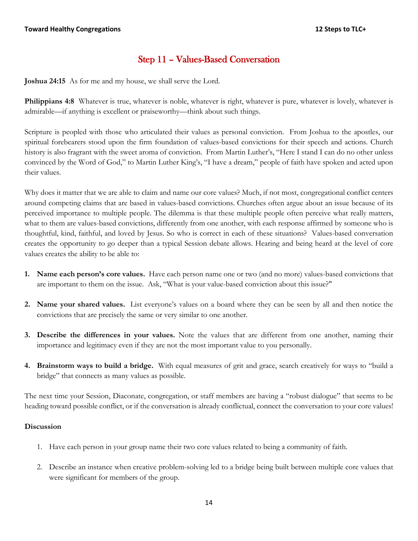# Step 11 – Values-Based Conversation

**Joshua 24:15** As for me and my house, we shall serve the Lord.

Philippians 4:8 Whatever is true, whatever is noble, whatever is right, whatever is pure, whatever is lovely, whatever is admirable—if anything is excellent or praiseworthy—think about such things.

Scripture is peopled with those who articulated their values as personal conviction. From Joshua to the apostles, our spiritual forebearers stood upon the firm foundation of values-based convictions for their speech and actions. Church history is also fragrant with the sweet aroma of conviction. From Martin Luther's, "Here I stand I can do no other unless convinced by the Word of God," to Martin Luther King's, "I have a dream," people of faith have spoken and acted upon their values.

Why does it matter that we are able to claim and name our core values? Much, if not most, congregational conflict centers around competing claims that are based in values-based convictions. Churches often argue about an issue because of its perceived importance to multiple people. The dilemma is that these multiple people often perceive what really matters, what to them are values-based convictions, differently from one another, with each response affirmed by someone who is thoughtful, kind, faithful, and loved by Jesus. So who is correct in each of these situations? Values-based conversation creates the opportunity to go deeper than a typical Session debate allows. Hearing and being heard at the level of core values creates the ability to be able to:

- **1. Name each person's core values.** Have each person name one or two (and no more) values-based convictions that are important to them on the issue. Ask, "What is your value-based conviction about this issue?"
- **2. Name your shared values.** List everyone's values on a board where they can be seen by all and then notice the convictions that are precisely the same or very similar to one another.
- **3. Describe the differences in your values.** Note the values that are different from one another, naming their importance and legitimacy even if they are not the most important value to you personally.
- **4. Brainstorm ways to build a bridge.** With equal measures of grit and grace, search creatively for ways to "build a bridge" that connects as many values as possible.

The next time your Session, Diaconate, congregation, or staff members are having a "robust dialogue" that seems to be heading toward possible conflict, or if the conversation is already conflictual, connect the conversation to your core values!

- 1. Have each person in your group name their two core values related to being a community of faith.
- 2. Describe an instance when creative problem-solving led to a bridge being built between multiple core values that were significant for members of the group.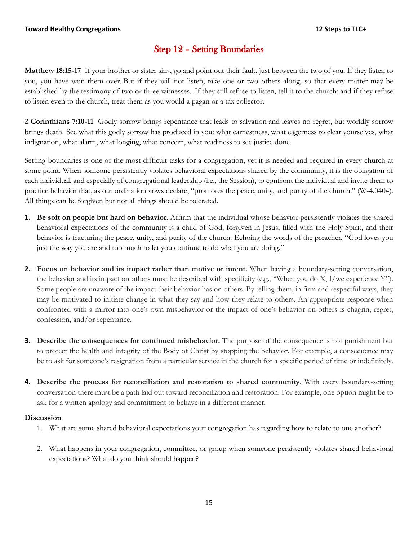# Step 12 – Setting Boundaries

**Matthew 18:15-17** If your brother or sister sins, go and point out their fault, just between the two of you. If they listen to you, you have won them over. But if they will not listen, take one or two others along, so that every matter may be established by the testimony of two or three witnesses. If they still refuse to listen, tell it to the church; and if they refuse to listen even to the church, treat them as you would a pagan or a tax collector.

**2 Corinthians 7:10-11** Godly sorrow brings repentance that leads to salvation and leaves no regret, but worldly sorrow brings death. See what this godly sorrow has produced in you: what earnestness, what eagerness to clear yourselves, what indignation, what alarm, what longing, what concern, what readiness to see justice done.

Setting boundaries is one of the most difficult tasks for a congregation, yet it is needed and required in every church at some point. When someone persistently violates behavioral expectations shared by the community, it is the obligation of each individual, and especially of congregational leadership (i.e., the Session), to confront the individual and invite them to practice behavior that, as our ordination vows declare, "promotes the peace, unity, and purity of the church." (W-4.0404). All things can be forgiven but not all things should be tolerated.

- **1. Be soft on people but hard on behavior**. Affirm that the individual whose behavior persistently violates the shared behavioral expectations of the community is a child of God, forgiven in Jesus, filled with the Holy Spirit, and their behavior is fracturing the peace, unity, and purity of the church. Echoing the words of the preacher, "God loves you just the way you are and too much to let you continue to do what you are doing."
- **2. Focus on behavior and its impact rather than motive or intent.** When having a boundary-setting conversation, the behavior and its impact on others must be described with specificity (e.g., "When you do X, I/we experience Y"). Some people are unaware of the impact their behavior has on others. By telling them, in firm and respectful ways, they may be motivated to initiate change in what they say and how they relate to others. An appropriate response when confronted with a mirror into one's own misbehavior or the impact of one's behavior on others is chagrin, regret, confession, and/or repentance.
- **3. Describe the consequences for continued misbehavior.** The purpose of the consequence is not punishment but to protect the health and integrity of the Body of Christ by stopping the behavior. For example, a consequence may be to ask for someone's resignation from a particular service in the church for a specific period of time or indefinitely.
- **4. Describe the process for reconciliation and restoration to shared community**. With every boundary-setting conversation there must be a path laid out toward reconciliation and restoration. For example, one option might be to ask for a written apology and commitment to behave in a different manner.

- 1. What are some shared behavioral expectations your congregation has regarding how to relate to one another?
- 2. What happens in your congregation, committee, or group when someone persistently violates shared behavioral expectations? What do you think should happen?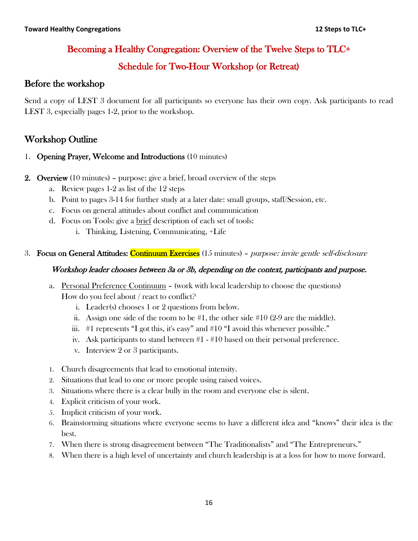# Becoming a Healthy Congregation: Overview of the Twelve Steps to TLC+

# Schedule for Two-Hour Workshop (or Retreat)

# Before the workshop

Send a copy of LEST 3 document for all participants so everyone has their own copy. Ask participants to read LEST 3, especially pages 1-2, prior to the workshop.

# Workshop Outline

- 1. Opening Prayer, Welcome and Introductions (10 minutes)
- 2. Overview (10 minutes) purpose: give a brief, broad overview of the steps
	- a. Review pages 1-2 as list of the 12 steps
	- b. Point to pages 3-14 for further study at a later date: small groups, staff/Session, etc.
	- c. Focus on general attitudes about conflict and communication
	- d. Focus on Tools: give a brief description of each set of tools:
		- i. Thinking, Listening, Communicating, +Life
- 3. Focus on General Attitudes: Continuum Exercises (15 minutes) *purpose: invite gentle self-disclosure*

### Workshop leader chooses between 3a or 3b, depending on the context, participants and purpose.

- a. Personal Preference Continuum (work with local leadership to choose the questions) How do you feel about / react to conflict?
	- i. Leader(s) chooses 1 or 2 questions from below.
	- ii. Assign one side of the room to be  $#1$ , the other side  $#10$  (2-9 are the middle).
	- iii. #1 represents "I got this, it's easy" and #10 "I avoid this whenever possible."
	- iv. Ask participants to stand between #1 #10 based on their personal preference.
	- v. Interview 2 or 3 participants.
- 1. Church disagreements that lead to emotional intensity.
- 2. Situations that lead to one or more people using raised voices.
- 3. Situations where there is a clear bully in the room and everyone else is silent.
- 4. Explicit criticism of your work.
- 5. Implicit criticism of your work.
- 6. Brainstorming situations where everyone seems to have a different idea and "knows" their idea is the best.
- 7. When there is strong disagreement between "The Traditionalists" and "The Entrepreneurs."
- 8. When there is a high level of uncertainty and church leadership is at a loss for how to move forward.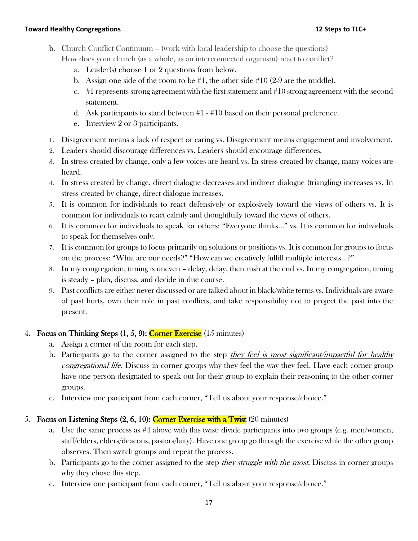- **b.** Church Conflict Continuum -- (work with local leadership to choose the questions) How does your church (as a whole, as an interconnected organism) react to conflict?
	- a. Leader(s) choose 1 or 2 questions from below.
	- b. Assign one side of the room to be  $#1$ , the other side  $#10$  (2-9 are the middle).
	- c.  $\#1$  represents strong agreement with the first statement and  $\#10$  strong agreement with the second statement.
	- d. Ask participants to stand between #1 #10 based on their personal preference.
	- e. Interview 2 or 3 participants.
- 1. Disagreement means a lack of respect or caring vs. Disagreement means engagement and involvement.
- 2. Leaders should discourage differences vs. Leaders should encourage differences.
- 3. In stress created by change, only a few voices are heard vs. In stress created by change, many voices are heard.
- 4. In stress created by change, direct dialogue decreases and indirect dialogue (triangling) increases vs. In stress created by change, direct dialogue increases.
- 5. It is common for individuals to react defensively or explosively toward the views of others vs. It is common for individuals to react calmly and thoughtfully toward the views of others.
- 6. It is common for individuals to speak for others: "Everyone thinks…" vs. It is common for individuals to speak for themselves only.
- 7. It is common for groups to focus primarily on solutions or positions vs. It is common for groups to focus on the process: "What are our needs?" "How can we creatively fulfill multiple interests…?"
- 8. In my congregation, timing is uneven delay, delay, then rush at the end vs. In my congregation, timing is steady – plan, discuss, and decide in due course.
- 9. Past conflicts are either never discussed or are talked about in black/white terms vs. Individuals are aware of past hurts, own their role in past conflicts, and take responsibility not to project the past into the present.

### 4. Focus on Thinking Steps  $(1, 5, 9)$ : Corner Exercise  $(15 \text{ minutes})$

- a. Assign a corner of the room for each step.
- b. Participants go to the corner assigned to the step *they feel is most significant/impactful for healthy* congregational life. Discuss in corner groups why they feel the way they feel. Have each corner group have one person designated to speak out for their group to explain their reasoning to the other corner groups.
- c. Interview one participant from each corner, "Tell us about your response/choice."

#### 5. Focus on Listening Steps  $(2, 6, 10)$ : Corner Exercise with a Twist  $(20 \text{ minutes})$

- a. Use the same process as #4 above with this twist: divide participants into two groups (e.g. men/women, staff/elders, elders/deacons, pastors/laity). Have one group go through the exercise while the other group observes. Then switch groups and repeat the process.
- b. Participants go to the corner assigned to the step they struggle with the most. Discuss in corner groups why they chose this step.
- c. Interview one participant from each corner, "Tell us about your response/choice."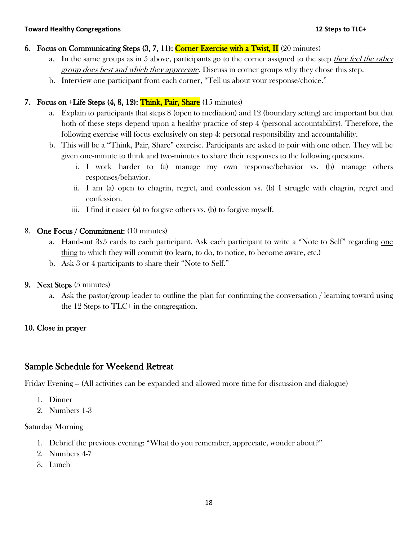### 6. Focus on Communicating Steps  $(3, 7, 11)$ : Corner Exercise with a Twist, II (20 minutes)

- a. In the same groups as in 5 above, participants go to the corner assigned to the step they feel the other group does best and which they appreciate. Discuss in corner groups why they chose this step.
- b. Interview one participant from each corner, "Tell us about your response/choice."

### 7. Focus on  $+$ Life Steps  $(4, 8, 12)$ : Think, Pair, Share  $(15 \text{ minutes})$

- a. Explain to participants that steps 8 (open to mediation) and 12 (boundary setting) are important but that both of these steps depend upon a healthy practice of step 4 (personal accountability). Therefore, the following exercise will focus exclusively on step 4: personal responsibility and accountability.
- b. This will be a "Think, Pair, Share" exercise. Participants are asked to pair with one other. They will be given one-minute to think and two-minutes to share their responses to the following questions.
	- i. I work harder to (a) manage my own response/behavior vs. (b) manage others responses/behavior.
	- ii. I am (a) open to chagrin, regret, and confession vs. (b) I struggle with chagrin, regret and confession.
	- iii. I find it easier (a) to forgive others vs. (b) to forgive myself.

### 8. One Focus / Commitment: (10 minutes)

- a. Hand-out 3x5 cards to each participant. Ask each participant to write a "Note to Self" regarding one thing to which they will commit (to learn, to do, to notice, to become aware, etc.)
- b. Ask 3 or 4 participants to share their "Note to Self."
- 9. Next Steps (5 minutes)
	- a. Ask the pastor/group leader to outline the plan for continuing the conversation / learning toward using the 12 Steps to TLC+ in the congregation.

## 10. Close in prayer

# Sample Schedule for Weekend Retreat

Friday Evening -- (All activities can be expanded and allowed more time for discussion and dialogue)

- 1. Dinner
- 2. Numbers 1-3

### Saturday Morning

- 1. Debrief the previous evening: "What do you remember, appreciate, wonder about?"
- 2. Numbers 4-7
- 3. Lunch